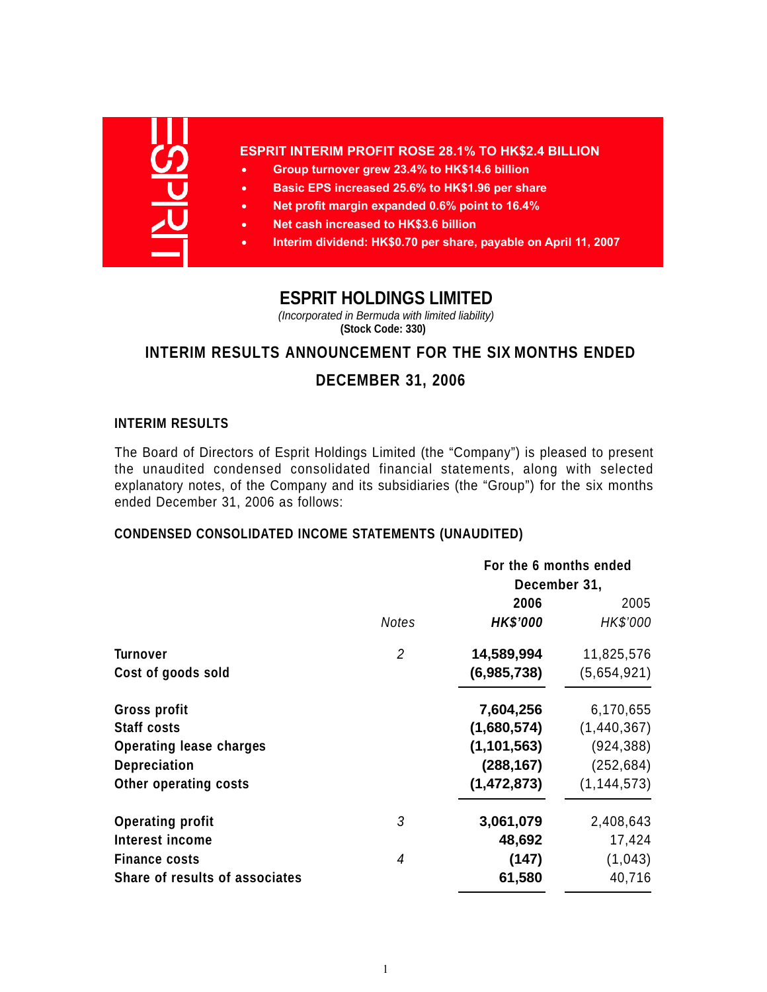

## **ESPRIT INTERIM PROFIT ROSE 28.1% TO HK\$2.4 BILLION**

- **Group turnover grew 23.4% to HK\$14.6 billion**
- **Basic EPS increased 25.6% to HK\$1.96 per share**
- **Net profit margin expanded 0.6% point to 16.4%**
- **Net cash increased to HK\$3.6 billion**
- **Interim dividend: HK\$0.70 per share, payable on April 11, 2007**

# **ESPRIT HOLDINGS LIMITED**

*(Incorporated in Bermuda with limited liability)* **(Stock Code: 330)**

# **INTERIM RESULTS ANNOUNCEMENT FOR THE SIX MONTHS ENDED**

# **DECEMBER 31, 2006**

## **INTERIM RESULTS**

The Board of Directors of Esprit Holdings Limited (the "Company") is pleased to present the unaudited condensed consolidated financial statements, along with selected explanatory notes, of the Company and its subsidiaries (the "Group") for the six months ended December 31, 2006 as follows:

# **CONDENSED CONSOLIDATED INCOME STATEMENTS (UNAUDITED)**

|                                |                | For the 6 months ended |               |  |
|--------------------------------|----------------|------------------------|---------------|--|
|                                |                | December 31,           |               |  |
|                                |                | 2006                   | 2005          |  |
|                                | <b>Notes</b>   | <b>HK\$'000</b>        | HK\$'000      |  |
| Turnover                       | $\overline{2}$ | 14,589,994             | 11,825,576    |  |
| Cost of goods sold             |                | (6,985,738)            | (5,654,921)   |  |
| Gross profit                   |                | 7,604,256              | 6,170,655     |  |
| <b>Staff costs</b>             |                | (1,680,574)            | (1,440,367)   |  |
| <b>Operating lease charges</b> |                | (1, 101, 563)          | (924, 388)    |  |
| <b>Depreciation</b>            |                | (288, 167)             | (252, 684)    |  |
| Other operating costs          |                | (1,472,873)            | (1, 144, 573) |  |
| <b>Operating profit</b>        | 3              | 3,061,079              | 2,408,643     |  |
| Interest income                |                | 48,692                 | 17,424        |  |
| <b>Finance costs</b>           | 4              | (147)                  | (1,043)       |  |
| Share of results of associates |                | 61,580                 | 40,716        |  |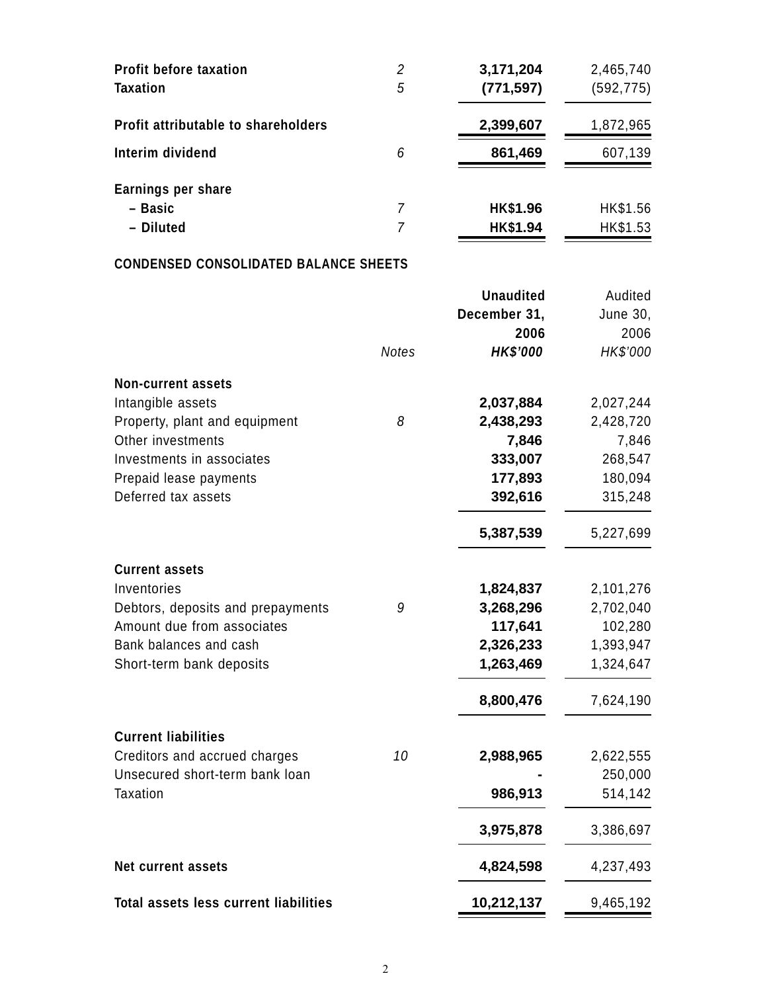| <b>Profit before taxation</b><br><b>Taxation</b> | 2<br>5 | 3,171,204<br>(771, 597) | 2,465,740<br>(592, 775) |
|--------------------------------------------------|--------|-------------------------|-------------------------|
| Profit attributable to shareholders              |        | 2,399,607               | 1,872,965               |
| Interim dividend                                 | 6      | 861,469                 | 607,139                 |
| Earnings per share                               |        |                         |                         |
| - Basic                                          | 7      | HK\$1.96                | HK\$1.56                |
| - Diluted                                        | 7      | HK\$1.94                | HK\$1.53                |

# **CONDENSED CONSOLIDATED BALANCE SHEETS**

|                                              |              | <b>Unaudited</b> | Audited   |
|----------------------------------------------|--------------|------------------|-----------|
|                                              |              | December 31,     | June 30,  |
|                                              |              | 2006             | 2006      |
|                                              | <b>Notes</b> | <b>HK\$'000</b>  | HK\$'000  |
| <b>Non-current assets</b>                    |              |                  |           |
| Intangible assets                            |              | 2,037,884        | 2,027,244 |
| Property, plant and equipment                | 8            | 2,438,293        | 2,428,720 |
| Other investments                            |              | 7,846            | 7,846     |
| Investments in associates                    |              | 333,007          | 268,547   |
| Prepaid lease payments                       |              | 177,893          | 180,094   |
| Deferred tax assets                          |              | 392,616          | 315,248   |
|                                              |              | 5,387,539        | 5,227,699 |
| <b>Current assets</b>                        |              |                  |           |
| Inventories                                  |              | 1,824,837        | 2,101,276 |
| Debtors, deposits and prepayments            | 9            | 3,268,296        | 2,702,040 |
| Amount due from associates                   |              | 117,641          | 102,280   |
| Bank balances and cash                       |              | 2,326,233        | 1,393,947 |
| Short-term bank deposits                     |              | 1,263,469        | 1,324,647 |
|                                              |              | 8,800,476        | 7,624,190 |
| <b>Current liabilities</b>                   |              |                  |           |
| Creditors and accrued charges                | 10           | 2,988,965        | 2,622,555 |
| Unsecured short-term bank loan               |              |                  | 250,000   |
| <b>Taxation</b>                              |              | 986,913          | 514,142   |
|                                              |              | 3,975,878        | 3,386,697 |
| <b>Net current assets</b>                    |              | 4,824,598        | 4,237,493 |
| <b>Total assets less current liabilities</b> |              | 10,212,137       | 9,465,192 |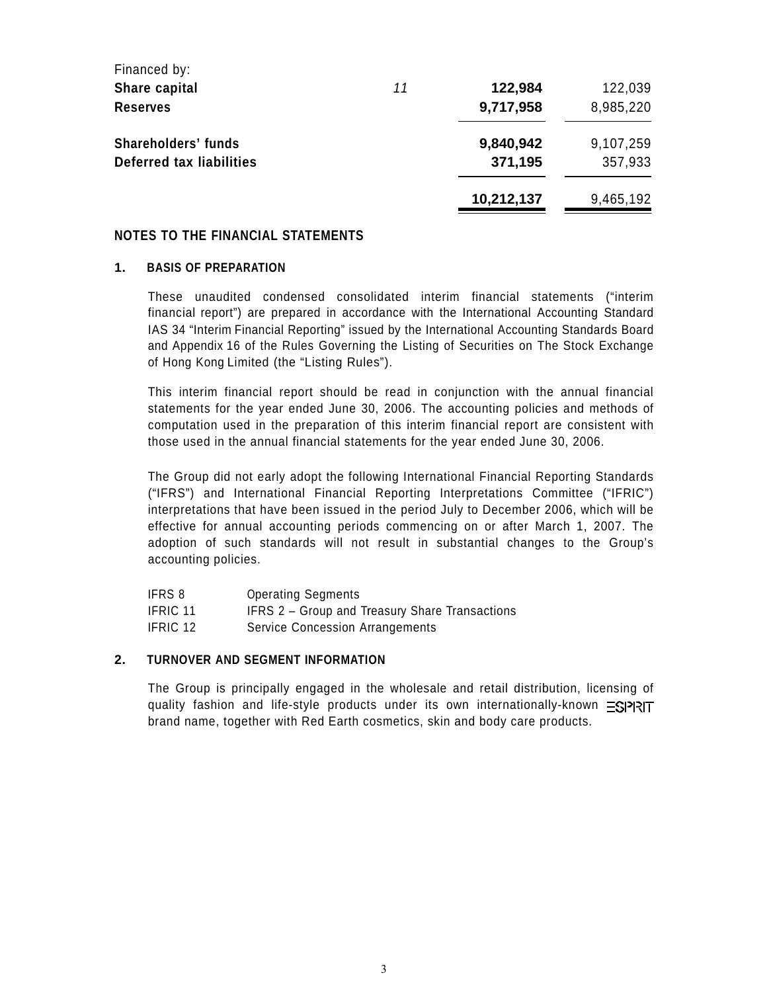| Financed by:               |    |            |           |
|----------------------------|----|------------|-----------|
| Share capital              | 11 | 122,984    | 122,039   |
| <b>Reserves</b>            |    | 9,717,958  | 8,985,220 |
| <b>Shareholders' funds</b> |    | 9,840,942  | 9,107,259 |
| Deferred tax liabilities   |    | 371,195    | 357,933   |
|                            |    | 10,212,137 | 9,465,192 |

#### **NOTES TO THE FINANCIAL STATEMENTS**

#### **1. BASIS OF PREPARATION**

These unaudited condensed consolidated interim financial statements ("interim financial report") are prepared in accordance with the International Accounting Standard IAS 34 "Interim Financial Reporting" issued by the International Accounting Standards Board and Appendix 16 of the Rules Governing the Listing of Securities on The Stock Exchange of Hong Kong Limited (the "Listing Rules").

This interim financial report should be read in conjunction with the annual financial statements for the year ended June 30, 2006. The accounting policies and methods of computation used in the preparation of this interim financial report are consistent with those used in the annual financial statements for the year ended June 30, 2006.

The Group did not early adopt the following International Financial Reporting Standards ("IFRS") and International Financial Reporting Interpretations Committee ("IFRIC") interpretations that have been issued in the period July to December 2006, which will be effective for annual accounting periods commencing on or after March 1, 2007. The adoption of such standards will not result in substantial changes to the Group's accounting policies.

| IFRS 8          | <b>Operating Segments</b>                      |
|-----------------|------------------------------------------------|
| <b>IFRIC 11</b> | IFRS 2 - Group and Treasury Share Transactions |
| IFRIC 12        | Service Concession Arrangements                |

#### **2. TURNOVER AND SEGMENT INFORMATION**

The Group is principally engaged in the wholesale and retail distribution, licensing of quality fashion and life-style products under its own internationally-known =SIPRIT brand name, together with Red Earth cosmetics, skin and body care products.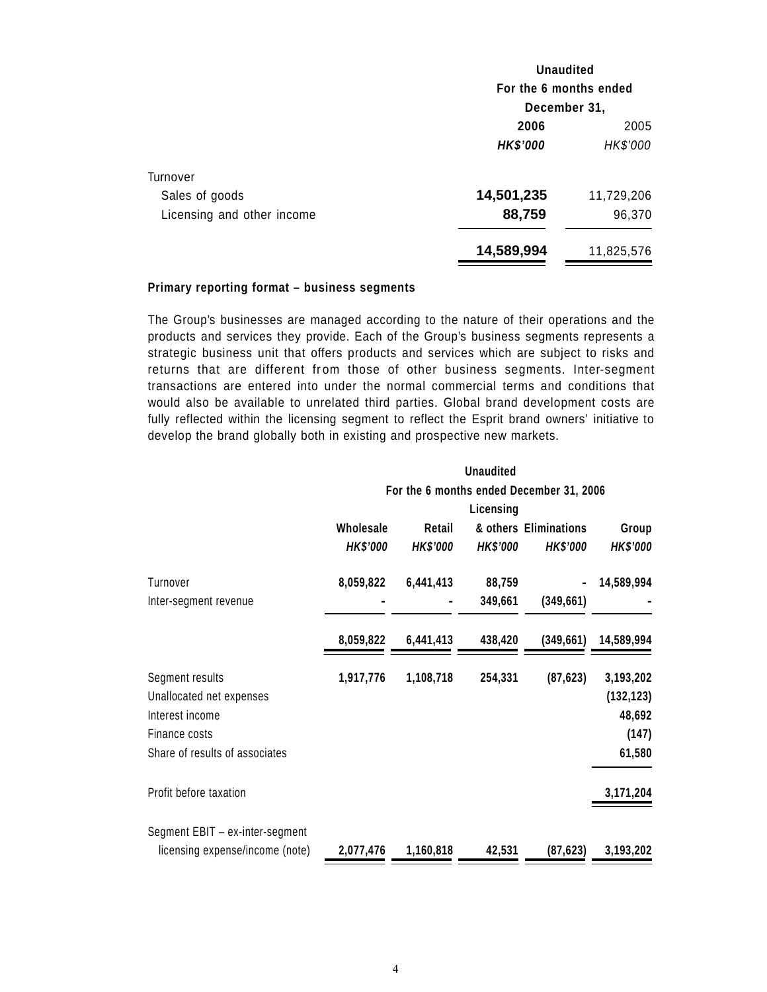|                            | <b>Unaudited</b>       |            |  |
|----------------------------|------------------------|------------|--|
|                            | For the 6 months ended |            |  |
|                            | December 31,           |            |  |
|                            | 2006                   | 2005       |  |
|                            | <b>HK\$'000</b>        | HK\$'000   |  |
| Turnover                   |                        |            |  |
| Sales of goods             | 14,501,235             | 11,729,206 |  |
| Licensing and other income | 88,759                 | 96,370     |  |
|                            | 14,589,994             | 11,825,576 |  |

#### **Primary reporting format – business segments**

The Group's businesses are managed according to the nature of their operations and the products and services they provide. Each of the Group's business segments represents a strategic business unit that offers products and services which are subject to risks and returns that are different from those of other business segments. Inter-segment transactions are entered into under the normal commercial terms and conditions that would also be available to unrelated third parties. Global brand development costs are fully reflected within the licensing segment to reflect the Esprit brand owners' initiative to develop the brand globally both in existing and prospective new markets.

|                                 |                 |                 | Unaudited       |                                          |                 |
|---------------------------------|-----------------|-----------------|-----------------|------------------------------------------|-----------------|
|                                 |                 |                 |                 | For the 6 months ended December 31, 2006 |                 |
|                                 |                 |                 | Licensing       |                                          |                 |
|                                 | Wholesale       | Retail          |                 | & others Eliminations                    | Group           |
|                                 | <b>HK\$'000</b> | <b>HK\$'000</b> | <b>HK\$'000</b> | <b>HK\$'000</b>                          | <b>HK\$'000</b> |
| Turnover                        | 8,059,822       | 6,441,413       | 88,759          |                                          | 14,589,994      |
| Inter-segment revenue           |                 |                 | 349,661         | (349, 661)                               |                 |
|                                 | 8,059,822       | 6,441,413       | 438,420         | (349, 661)                               | 14,589,994      |
| Segment results                 | 1,917,776       | 1,108,718       | 254,331         | (87, 623)                                | 3,193,202       |
| Unallocated net expenses        |                 |                 |                 |                                          | (132, 123)      |
| Interest income                 |                 |                 |                 |                                          | 48,692          |
| Finance costs                   |                 |                 |                 |                                          | (147)           |
| Share of results of associates  |                 |                 |                 |                                          | 61,580          |
| Profit before taxation          |                 |                 |                 |                                          | 3,171,204       |
| Segment EBIT - ex-inter-segment |                 |                 |                 |                                          |                 |
| licensing expense/income (note) | 2,077,476       | 1,160,818       | 42,531          | (87, 623)                                | 3,193,202       |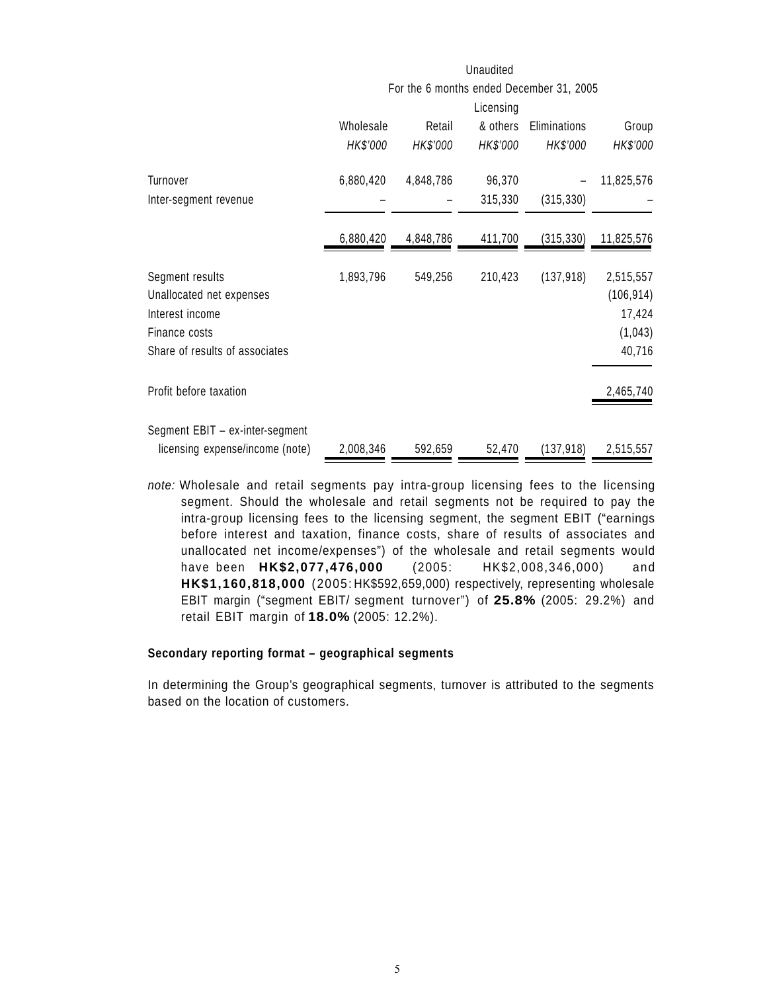|                                 |           |           | Unaudited |                                          |            |
|---------------------------------|-----------|-----------|-----------|------------------------------------------|------------|
|                                 |           |           |           | For the 6 months ended December 31, 2005 |            |
|                                 |           |           | Licensing |                                          |            |
|                                 | Wholesale | Retail    | & others  | Eliminations                             | Group      |
|                                 | HK\$'000  | HK\$'000  | HK\$'000  | HK\$'000                                 | HK\$'000   |
| Turnover                        | 6,880,420 | 4,848,786 | 96,370    |                                          | 11,825,576 |
| Inter-segment revenue           |           |           | 315,330   | (315, 330)                               |            |
|                                 | 6,880,420 | 4,848,786 | 411,700   | (315, 330)                               | 11,825,576 |
| Segment results                 | 1,893,796 | 549,256   | 210,423   | (137, 918)                               | 2,515,557  |
| Unallocated net expenses        |           |           |           |                                          | (106, 914) |
| Interest income                 |           |           |           |                                          | 17,424     |
| Finance costs                   |           |           |           |                                          | (1,043)    |
| Share of results of associates  |           |           |           |                                          | 40,716     |
| Profit before taxation          |           |           |           |                                          | 2,465,740  |
| Segment EBIT - ex-inter-segment |           |           |           |                                          |            |
| licensing expense/income (note) | 2,008,346 | 592,659   | 52,470    | (137, 918)                               | 2,515,557  |

*note:* Wholesale and retail segments pay intra-group licensing fees to the licensing segment. Should the wholesale and retail segments not be required to pay the intra-group licensing fees to the licensing segment, the segment EBIT ("earnings before interest and taxation, finance costs, share of results of associates and unallocated net income/expenses") of the wholesale and retail segments would have been **HK\$2,077,476,000** (2005: HK\$2,008,346,000) and **HK\$1,160,818,000** (2005: HK\$592,659,000) respectively, representing wholesale EBIT margin ("segment EBIT/ segment turnover") of **25.8%** (2005: 29.2%) and retail EBIT margin of **18.0%** (2005: 12.2%).

#### **Secondary reporting format – geographical segments**

In determining the Group's geographical segments, turnover is attributed to the segments based on the location of customers.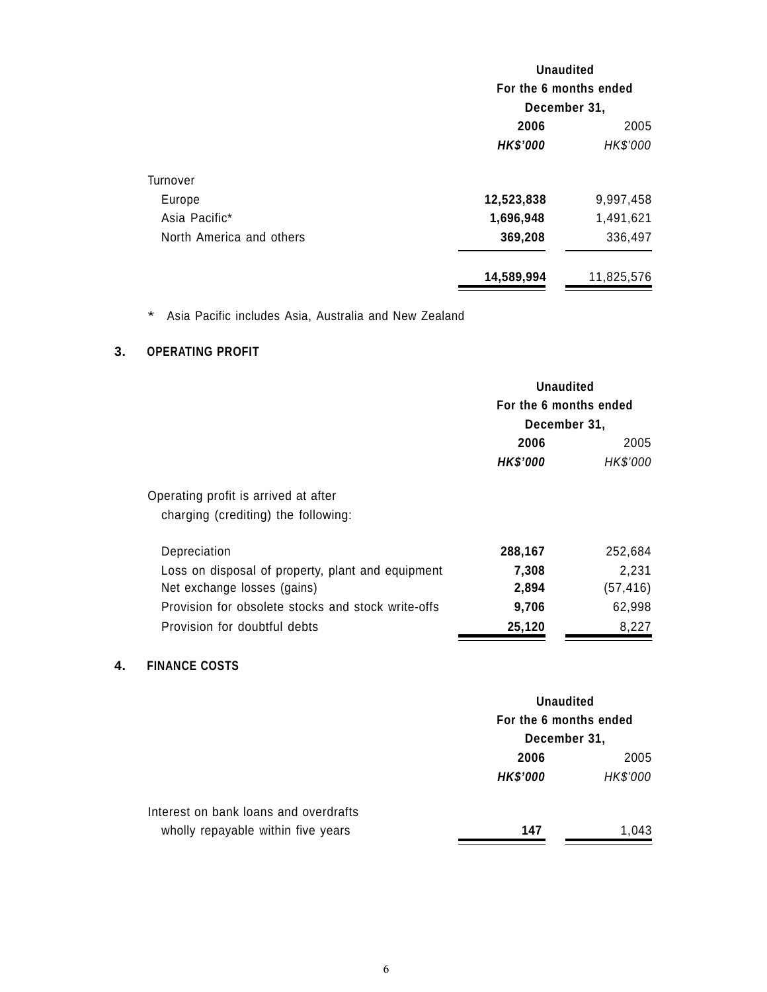|                          | <b>Unaudited</b><br>For the 6 months ended |            |  |
|--------------------------|--------------------------------------------|------------|--|
|                          |                                            |            |  |
|                          | December 31,                               |            |  |
|                          | 2006                                       | 2005       |  |
|                          | <b>HK\$'000</b>                            | HK\$'000   |  |
| Turnover                 |                                            |            |  |
| Europe                   | 12,523,838                                 | 9,997,458  |  |
| Asia Pacific*            | 1,696,948                                  | 1,491,621  |  |
| North America and others | 369,208                                    | 336,497    |  |
|                          | 14,589,994                                 | 11,825,576 |  |

\* Asia Pacific includes Asia, Australia and New Zealand

# **3. OPERATING PROFIT**

|                                                    |                 | Unaudited<br>For the 6 months ended<br>December 31, |  |
|----------------------------------------------------|-----------------|-----------------------------------------------------|--|
|                                                    | 2006            | 2005                                                |  |
|                                                    | <b>HK\$'000</b> | HK\$'000                                            |  |
| Operating profit is arrived at after               |                 |                                                     |  |
| charging (crediting) the following:                |                 |                                                     |  |
| Depreciation                                       | 288,167         | 252,684                                             |  |
| Loss on disposal of property, plant and equipment  | 7,308           | 2,231                                               |  |
| Net exchange losses (gains)                        | 2,894           | (57,416)                                            |  |
| Provision for obsolete stocks and stock write-offs | 9,706           | 62,998                                              |  |
| Provision for doubtful debts                       | 25,120          | 8,227                                               |  |

# **4. FINANCE COSTS**

|                                       | <b>Unaudited</b>       |          |
|---------------------------------------|------------------------|----------|
|                                       | For the 6 months ended |          |
|                                       | December 31,           |          |
|                                       | 2006                   | 2005     |
|                                       | <b>HK\$'000</b>        | HK\$'000 |
| Interest on bank loans and overdrafts |                        |          |
| wholly repayable within five years    | 147                    | 1.043    |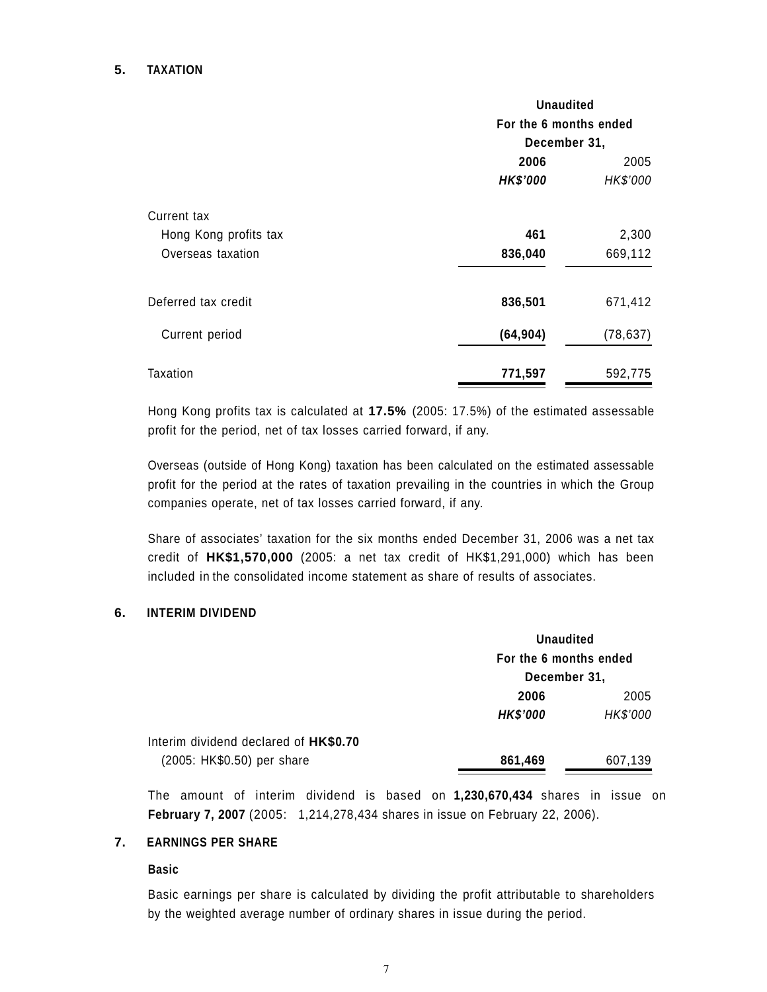## **5. TAXATION**

|                                                                  | <b>Unaudited</b><br>For the 6 months ended<br>December 31, |                  |
|------------------------------------------------------------------|------------------------------------------------------------|------------------|
|                                                                  | 2006<br><b>HK\$'000</b>                                    | 2005<br>HK\$'000 |
| <b>Current tax</b><br>Hong Kong profits tax<br>Overseas taxation | 461<br>836,040                                             | 2,300<br>669,112 |
| Deferred tax credit                                              | 836,501                                                    | 671,412          |
| Current period                                                   | (64, 904)                                                  | (78, 637)        |
| Taxation                                                         | 771,597                                                    | 592,775          |

Hong Kong profits tax is calculated at **17.5%** (2005: 17.5%) of the estimated assessable profit for the period, net of tax losses carried forward, if any.

Overseas (outside of Hong Kong) taxation has been calculated on the estimated assessable profit for the period at the rates of taxation prevailing in the countries in which the Group companies operate, net of tax losses carried forward, if any.

Share of associates' taxation for the six months ended December 31, 2006 was a net tax credit of **HK\$1,570,000** (2005: a net tax credit of HK\$1,291,000) which has been included in the consolidated income statement as share of results of associates.

#### **6. INTERIM DIVIDEND**

|                                       |                                                        | <b>Unaudited</b> |  |
|---------------------------------------|--------------------------------------------------------|------------------|--|
|                                       | For the 6 months ended<br>December 31,<br>2006<br>2005 |                  |  |
|                                       |                                                        |                  |  |
|                                       |                                                        |                  |  |
|                                       | <b>HK\$'000</b>                                        | HK\$'000         |  |
| Interim dividend declared of HK\$0.70 |                                                        |                  |  |
| (2005: HK\$0.50) per share            | 861,469                                                | 607,139          |  |

The amount of interim dividend is based on **1,230,670,434** shares in issue on **February 7, 2007** (2005: 1,214,278,434 shares in issue on February 22, 2006).

## **7. EARNINGS PER SHARE**

### **Basic**

Basic earnings per share is calculated by dividing the profit attributable to shareholders by the weighted average number of ordinary shares in issue during the period.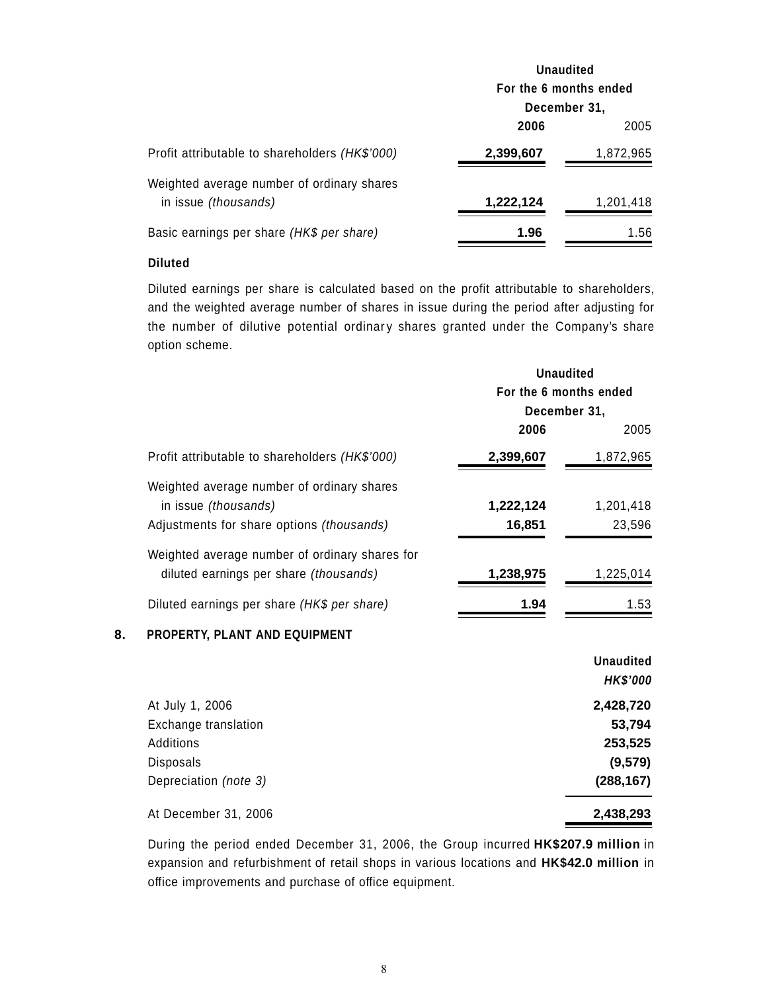|                                                                    | <b>Unaudited</b>       |           |  |
|--------------------------------------------------------------------|------------------------|-----------|--|
|                                                                    | For the 6 months ended |           |  |
|                                                                    | December 31,           |           |  |
|                                                                    | 2006                   | 2005      |  |
| Profit attributable to shareholders (HK\$'000)                     | 2,399,607              | 1,872,965 |  |
| Weighted average number of ordinary shares<br>in issue (thousands) | 1,222,124              | 1,201,418 |  |
| Basic earnings per share (HK\$ per share)                          | 1.96                   | 1.56      |  |

## **Diluted**

Diluted earnings per share is calculated based on the profit attributable to shareholders, and the weighted average number of shares in issue during the period after adjusting for the number of dilutive potential ordinary shares granted under the Company's share option scheme.

|                                                | <b>Unaudited</b>                       |                  |  |
|------------------------------------------------|----------------------------------------|------------------|--|
|                                                | For the 6 months ended<br>December 31, |                  |  |
|                                                |                                        |                  |  |
|                                                | 2006                                   | 2005             |  |
| Profit attributable to shareholders (HK\$'000) | 2,399,607                              | 1,872,965        |  |
| Weighted average number of ordinary shares     |                                        |                  |  |
| in issue (thousands)                           | 1,222,124                              | 1,201,418        |  |
| Adjustments for share options (thousands)      | 16,851                                 | 23,596           |  |
| Weighted average number of ordinary shares for |                                        |                  |  |
| diluted earnings per share (thousands)         | 1,238,975                              | 1,225,014        |  |
| Diluted earnings per share (HK\$ per share)    | 1.94                                   | 1.53             |  |
| 8.<br>PROPERTY, PLANT AND EQUIPMENT            |                                        |                  |  |
|                                                |                                        | <b>Unaudited</b> |  |
|                                                |                                        | <b>HK\$'000</b>  |  |
| At July 1, 2006                                |                                        | 2,428,720        |  |
| Exchange translation                           |                                        | 53,794           |  |
| Additions                                      |                                        | 253,525          |  |
| <b>Disposals</b>                               |                                        | (9,579)          |  |
| Depreciation (note 3)                          |                                        | (288, 167)       |  |
| At December 31, 2006                           |                                        | 2,438,293        |  |

During the period ended December 31, 2006, the Group incurred **HK\$207.9 million** in expansion and refurbishment of retail shops in various locations and **HK\$42.0 million** in office improvements and purchase of office equipment.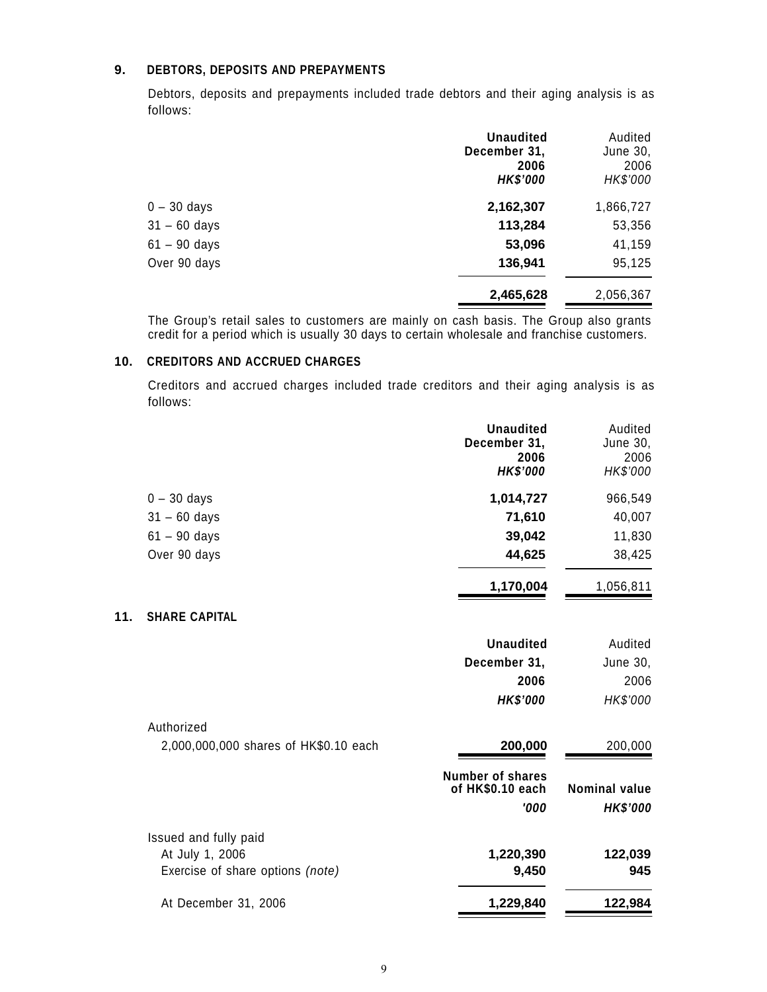## **9. DEBTORS, DEPOSITS AND PREPAYMENTS**

Debtors, deposits and prepayments included trade debtors and their aging analysis is as follows:

|                | <b>Unaudited</b><br>December 31,<br>2006<br><b>HK\$'000</b> | Audited<br>June 30,<br>2006<br>HK\$'000 |
|----------------|-------------------------------------------------------------|-----------------------------------------|
| $0 - 30$ days  | 2,162,307                                                   | 1,866,727                               |
| $31 - 60$ days | 113,284                                                     | 53,356                                  |
| $61 - 90$ days | 53,096                                                      | 41,159                                  |
| Over 90 days   | 136,941                                                     | 95,125                                  |
|                | 2,465,628                                                   | 2,056,367                               |

The Group's retail sales to customers are mainly on cash basis. The Group also grants credit for a period which is usually 30 days to certain wholesale and franchise customers.

## **10. CREDITORS AND ACCRUED CHARGES**

**11.** 

Creditors and accrued charges included trade creditors and their aging analysis is as follows:

|                                       | <b>Unaudited</b><br>December 31,<br>2006<br><b>HK\$'000</b> | Audited<br>June 30,<br>2006<br>HK\$'000 |
|---------------------------------------|-------------------------------------------------------------|-----------------------------------------|
| $0 - 30$ days                         | 1,014,727                                                   | 966,549                                 |
| $31 - 60$ days                        | 71,610                                                      | 40,007                                  |
| $61 - 90$ days                        | 39,042                                                      | 11,830                                  |
| Over 90 days                          | 44,625                                                      | 38,425                                  |
|                                       | 1,170,004                                                   | 1,056,811                               |
| <b>SHARE CAPITAL</b>                  |                                                             |                                         |
|                                       | <b>Unaudited</b>                                            | Audited                                 |
|                                       | December 31,                                                | June 30,                                |
|                                       | 2006                                                        | 2006                                    |
|                                       | <b>HK\$'000</b>                                             | HK\$'000                                |
| Authorized                            |                                                             |                                         |
| 2,000,000,000 shares of HK\$0.10 each | 200,000                                                     | 200,000                                 |
|                                       | <b>Number of shares</b><br>of HK\$0.10 each<br>'000         | <b>Nominal value</b><br><b>HK\$'000</b> |
| Issued and fully paid                 |                                                             |                                         |
| At July 1, 2006                       | 1,220,390                                                   | 122,039                                 |
| Exercise of share options (note)      | 9,450                                                       | 945                                     |
| At December 31, 2006                  | 1,229,840                                                   | 122,984                                 |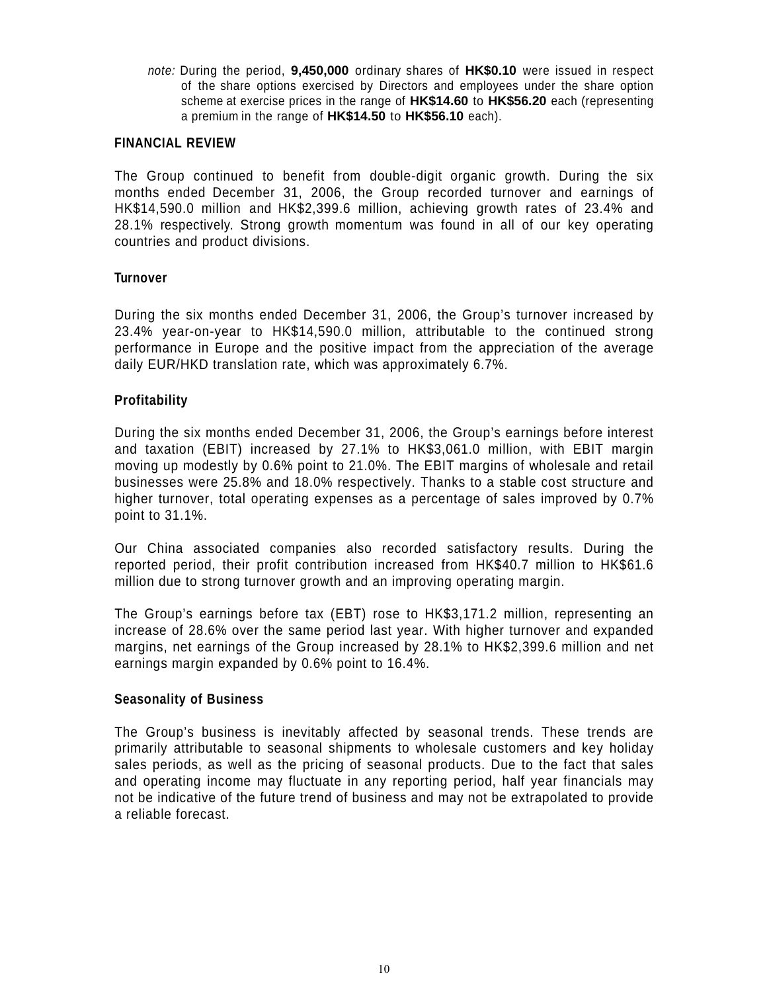*note:* During the period, **9,450,000** ordinary shares of **HK\$0.10** were issued in respect of the share options exercised by Directors and employees under the share option scheme at exercise prices in the range of **HK\$14.60** to **HK\$56.20** each (representing a premium in the range of **HK\$14.50** to **HK\$56.10** each).

## **FINANCIAL REVIEW**

The Group continued to benefit from double-digit organic growth. During the six months ended December 31, 2006, the Group recorded turnover and earnings of HK\$14,590.0 million and HK\$2,399.6 million, achieving growth rates of 23.4% and 28.1% respectively. Strong growth momentum was found in all of our key operating countries and product divisions.

## **Turnover**

During the six months ended December 31, 2006, the Group's turnover increased by 23.4% year-on-year to HK\$14,590.0 million, attributable to the continued strong performance in Europe and the positive impact from the appreciation of the average daily EUR/HKD translation rate, which was approximately 6.7%.

# **Profitability**

During the six months ended December 31, 2006, the Group's earnings before interest and taxation (EBIT) increased by 27.1% to HK\$3,061.0 million, with EBIT margin moving up modestly by 0.6% point to 21.0%. The EBIT margins of wholesale and retail businesses were 25.8% and 18.0% respectively. Thanks to a stable cost structure and higher turnover, total operating expenses as a percentage of sales improved by 0.7% point to 31.1%.

Our China associated companies also recorded satisfactory results. During the reported period, their profit contribution increased from HK\$40.7 million to HK\$61.6 million due to strong turnover growth and an improving operating margin.

The Group's earnings before tax (EBT) rose to HK\$3,171.2 million, representing an increase of 28.6% over the same period last year. With higher turnover and expanded margins, net earnings of the Group increased by 28.1% to HK\$2,399.6 million and net earnings margin expanded by 0.6% point to 16.4%.

## **Seasonality of Business**

The Group's business is inevitably affected by seasonal trends. These trends are primarily attributable to seasonal shipments to wholesale customers and key holiday sales periods, as well as the pricing of seasonal products. Due to the fact that sales and operating income may fluctuate in any reporting period, half year financials may not be indicative of the future trend of business and may not be extrapolated to provide a reliable forecast.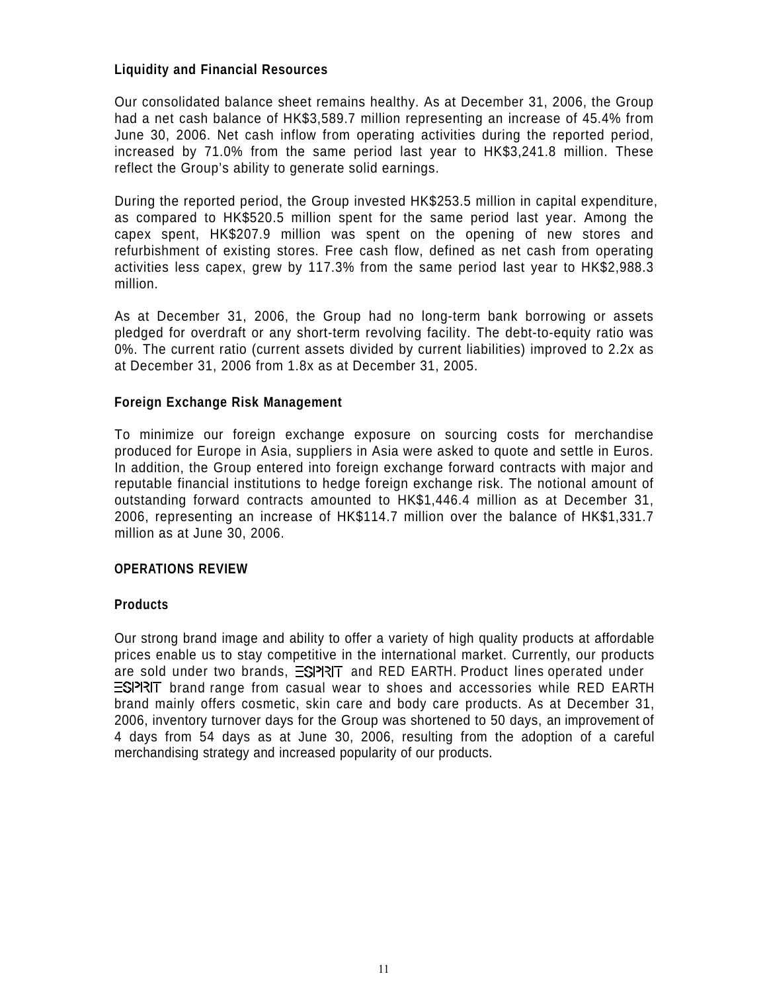## **Liquidity and Financial Resources**

Our consolidated balance sheet remains healthy. As at December 31, 2006, the Group had a net cash balance of HK\$3,589.7 million representing an increase of 45.4% from June 30, 2006. Net cash inflow from operating activities during the reported period, increased by 71.0% from the same period last year to HK\$3,241.8 million. These reflect the Group's ability to generate solid earnings.

During the reported period, the Group invested HK\$253.5 million in capital expenditure, as compared to HK\$520.5 million spent for the same period last year. Among the capex spent, HK\$207.9 million was spent on the opening of new stores and refurbishment of existing stores. Free cash flow, defined as net cash from operating activities less capex, grew by 117.3% from the same period last year to HK\$2,988.3 million.

As at December 31, 2006, the Group had no long-term bank borrowing or assets pledged for overdraft or any short-term revolving facility. The debt-to-equity ratio was 0%. The current ratio (current assets divided by current liabilities) improved to 2.2x as at December 31, 2006 from 1.8x as at December 31, 2005.

## **Foreign Exchange Risk Management**

To minimize our foreign exchange exposure on sourcing costs for merchandise produced for Europe in Asia, suppliers in Asia were asked to quote and settle in Euros. In addition, the Group entered into foreign exchange forward contracts with major and reputable financial institutions to hedge foreign exchange risk. The notional amount of outstanding forward contracts amounted to HK\$1,446.4 million as at December 31, 2006, representing an increase of HK\$114.7 million over the balance of HK\$1,331.7 million as at June 30, 2006.

## **OPERATIONS REVIEW**

## **Products**

Our strong brand image and ability to offer a variety of high quality products at affordable prices enable us to stay competitive in the international market. Currently, our products are sold under two brands,  $\equiv$ S| $\equiv$ | $\equiv$ | $\equiv$  and RED EARTH. Product lines operated under  $ES$ PRIT brand range from casual wear to shoes and accessories while RED EARTH brand mainly offers cosmetic, skin care and body care products. As at December 31, 2006, inventory turnover days for the Group was shortened to 50 days, an improvement of 4 days from 54 days as at June 30, 2006, resulting from the adoption of a careful merchandising strategy and increased popularity of our products.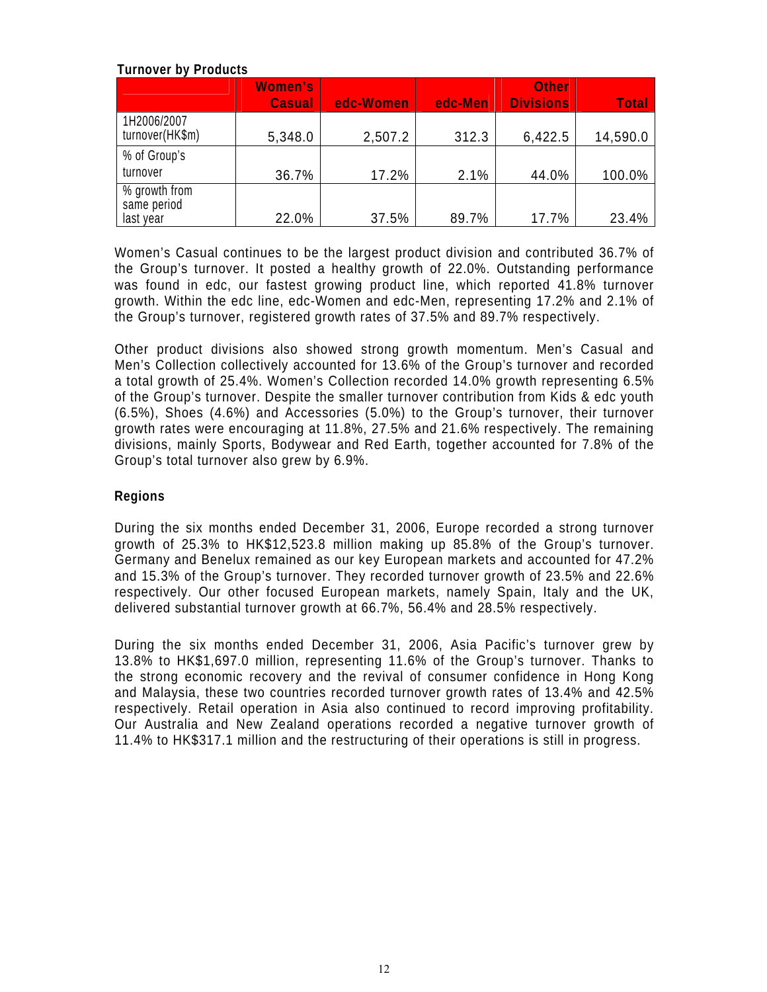# **Turnover by Products**

|                                           | <b>Women's</b><br><b>Casual</b> | edc-Women | edc-Men | <b>Other</b><br><b>Divisions</b> | <b>Total</b> |
|-------------------------------------------|---------------------------------|-----------|---------|----------------------------------|--------------|
| 1H2006/2007<br>turnover(HK\$m)            | 5,348.0                         | 2,507.2   | 312.3   | 6,422.5                          | 14,590.0     |
| % of Group's                              |                                 |           |         |                                  |              |
| turnover                                  | 36.7%                           | 17.2%     | 2.1%    | 44.0%                            | 100.0%       |
| % growth from<br>same period<br>last year | 22.0%                           | 37.5%     | 89.7%   | 17.7%                            | 23.4%        |

Women's Casual continues to be the largest product division and contributed 36.7% of the Group's turnover. It posted a healthy growth of 22.0%. Outstanding performance was found in edc, our fastest growing product line, which reported 41.8% turnover growth. Within the edc line, edc-Women and edc-Men, representing 17.2% and 2.1% of the Group's turnover, registered growth rates of 37.5% and 89.7% respectively.

Other product divisions also showed strong growth momentum. Men's Casual and Men's Collection collectively accounted for 13.6% of the Group's turnover and recorded a total growth of 25.4%. Women's Collection recorded 14.0% growth representing 6.5% of the Group's turnover. Despite the smaller turnover contribution from Kids & edc youth (6.5%), Shoes (4.6%) and Accessories (5.0%) to the Group's turnover, their turnover growth rates were encouraging at 11.8%, 27.5% and 21.6% respectively. The remaining divisions, mainly Sports, Bodywear and Red Earth, together accounted for 7.8% of the Group's total turnover also grew by 6.9%.

# **Regions**

During the six months ended December 31, 2006, Europe recorded a strong turnover growth of 25.3% to HK\$12,523.8 million making up 85.8% of the Group's turnover. Germany and Benelux remained as our key European markets and accounted for 47.2% and 15.3% of the Group's turnover. They recorded turnover growth of 23.5% and 22.6% respectively. Our other focused European markets, namely Spain, Italy and the UK, delivered substantial turnover growth at 66.7%, 56.4% and 28.5% respectively.

During the six months ended December 31, 2006, Asia Pacific's turnover grew by 13.8% to HK\$1,697.0 million, representing 11.6% of the Group's turnover. Thanks to the strong economic recovery and the revival of consumer confidence in Hong Kong and Malaysia, these two countries recorded turnover growth rates of 13.4% and 42.5% respectively. Retail operation in Asia also continued to record improving profitability. Our Australia and New Zealand operations recorded a negative turnover growth of 11.4% to HK\$317.1 million and the restructuring of their operations is still in progress.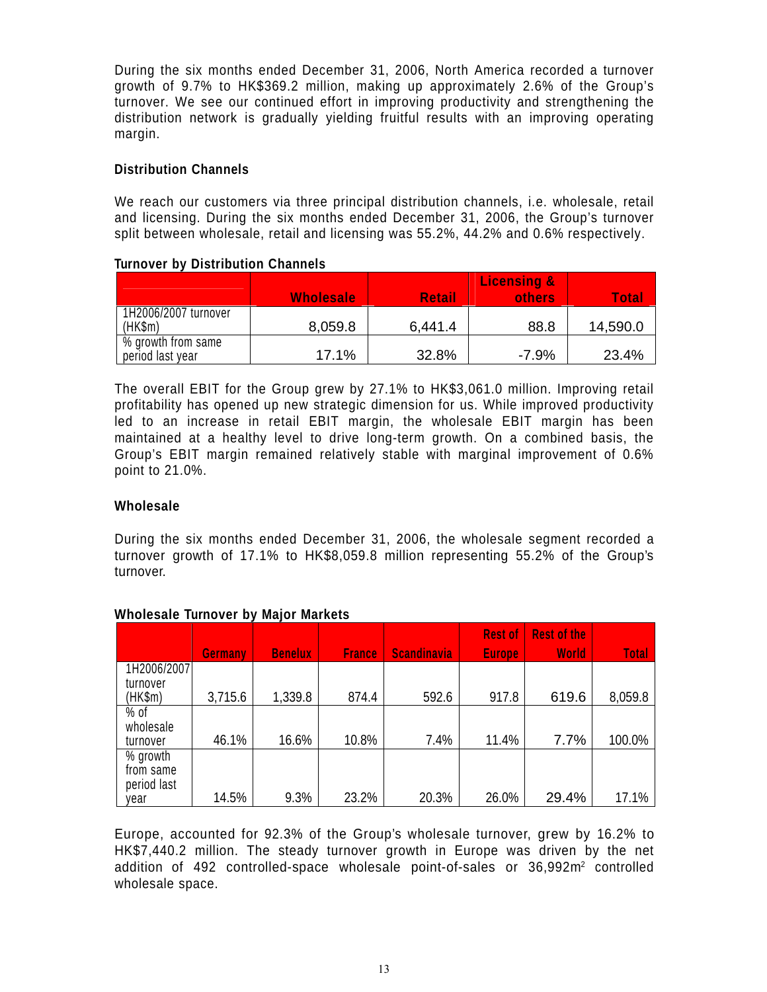During the six months ended December 31, 2006, North America recorded a turnover growth of 9.7% to HK\$369.2 million, making up approximately 2.6% of the Group's turnover. We see our continued effort in improving productivity and strengthening the distribution network is gradually yielding fruitful results with an improving operating margin.

## **Distribution Channels**

We reach our customers via three principal distribution channels, i.e. wholesale, retail and licensing. During the six months ended December 31, 2006, the Group's turnover split between wholesale, retail and licensing was 55.2%, 44.2% and 0.6% respectively.

## **Turnover by Distribution Channels**

|                                        | <b>Wholesale</b> | <b>Retail</b> | Licensing &<br>others | <b>Total</b> |
|----------------------------------------|------------------|---------------|-----------------------|--------------|
| 1H2006/2007 turnover<br>(HK\$m)        | 8,059.8          | 6,441.4       | 88.8                  | 14,590.0     |
| % growth from same<br>period last year | 17.1%            | 32.8%         | $-7.9%$               | 23.4%        |

The overall EBIT for the Group grew by 27.1% to HK\$3,061.0 million. Improving retail profitability has opened up new strategic dimension for us. While improved productivity led to an increase in retail EBIT margin, the wholesale EBIT margin has been maintained at a healthy level to drive long-term growth. On a combined basis, the Group's EBIT margin remained relatively stable with marginal improvement of 0.6% point to 21.0%.

# **Wholesale**

During the six months ended December 31, 2006, the wholesale segment recorded a turnover growth of 17.1% to HK\$8,059.8 million representing 55.2% of the Group's turnover.

|             | <b>Germany</b> | <b>Benelux</b> | <b>France</b> | <b>Scandinavia</b> | <b>Rest of</b><br><b>Europe</b> | <b>Rest of the</b><br><b>World</b> | <b>Total</b> |
|-------------|----------------|----------------|---------------|--------------------|---------------------------------|------------------------------------|--------------|
| 1H2006/2007 |                |                |               |                    |                                 |                                    |              |
| turnover    |                |                |               |                    |                                 |                                    |              |
| (HK\$m)     | 3,715.6        | 1,339.8        | 874.4         | 592.6              | 917.8                           | 619.6                              | 8,059.8      |
| $%$ of      |                |                |               |                    |                                 |                                    |              |
| wholesale   |                |                |               |                    |                                 |                                    |              |
| turnover    | 46.1%          | 16.6%          | 10.8%         | 7.4%               | 11.4%                           | 7.7%                               | 100.0%       |
| % growth    |                |                |               |                    |                                 |                                    |              |
| from same   |                |                |               |                    |                                 |                                    |              |
| period last |                |                |               |                    |                                 |                                    |              |
| vear        | 14.5%          | 9.3%           | 23.2%         | 20.3%              | 26.0%                           | 29.4%                              | 17.1%        |

# **Wholesale Turnover by Major Markets**

Europe, accounted for 92.3% of the Group's wholesale turnover, grew by 16.2% to HK\$7,440.2 million. The steady turnover growth in Europe was driven by the net addition of 492 controlled-space wholesale point-of-sales or 36,992m² controlled wholesale space.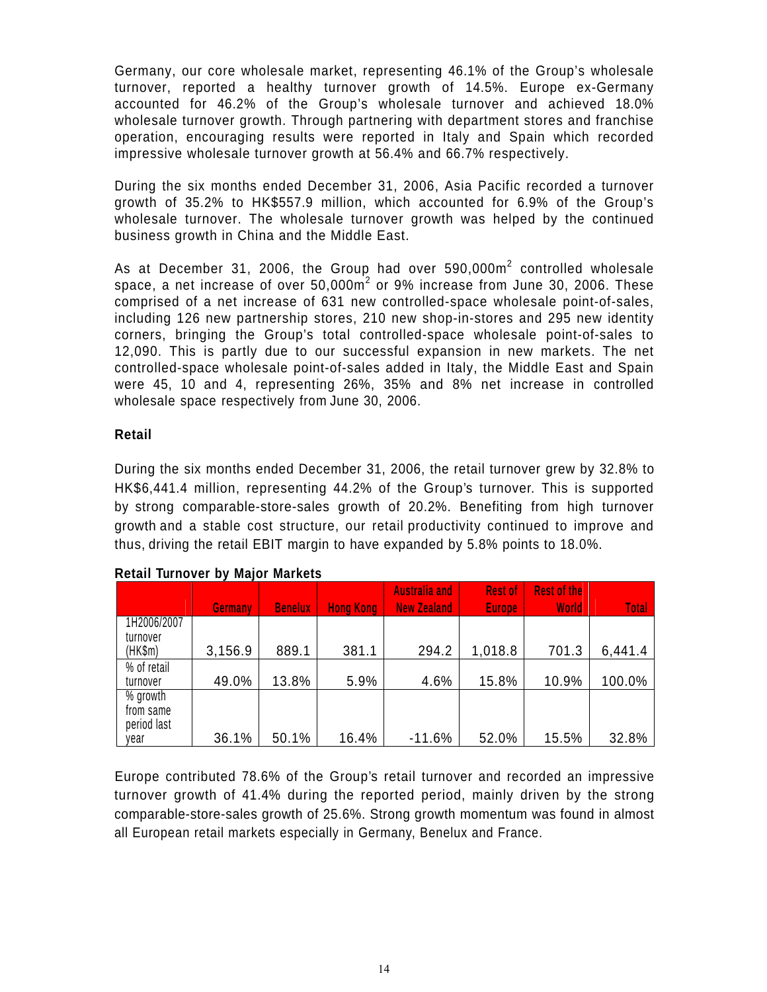Germany, our core wholesale market, representing 46.1% of the Group's wholesale turnover, reported a healthy turnover growth of 14.5%. Europe ex-Germany accounted for 46.2% of the Group's wholesale turnover and achieved 18.0% wholesale turnover growth. Through partnering with department stores and franchise operation, encouraging results were reported in Italy and Spain which recorded impressive wholesale turnover growth at 56.4% and 66.7% respectively.

During the six months ended December 31, 2006, Asia Pacific recorded a turnover growth of 35.2% to HK\$557.9 million, which accounted for 6.9% of the Group's wholesale turnover. The wholesale turnover growth was helped by the continued business growth in China and the Middle East.

As at December 31, 2006, the Group had over 590,000 $m^2$  controlled wholesale space, a net increase of over  $50,000$ m $^2$  or  $9\%$  increase from June 30, 2006. These comprised of a net increase of 631 new controlled-space wholesale point-of-sales, including 126 new partnership stores, 210 new shop-in-stores and 295 new identity corners, bringing the Group's total controlled-space wholesale point-of-sales to 12,090. This is partly due to our successful expansion in new markets. The net controlled-space wholesale point-of-sales added in Italy, the Middle East and Spain were 45, 10 and 4, representing 26%, 35% and 8% net increase in controlled wholesale space respectively from June 30, 2006.

# **Retail**

During the six months ended December 31, 2006, the retail turnover grew by 32.8% to HK\$6,441.4 million, representing 44.2% of the Group's turnover. This is supported by strong comparable-store-sales growth of 20.2%. Benefiting from high turnover growth and a stable cost structure, our retail productivity continued to improve and thus, driving the retail EBIT margin to have expanded by 5.8% points to 18.0%.

|             |                |                |                  | <b>Australia and</b> | <b>Rest of</b> | <b>Rest of the</b> |              |
|-------------|----------------|----------------|------------------|----------------------|----------------|--------------------|--------------|
|             | <b>Germany</b> | <b>Benelux</b> | <b>Hong Kong</b> | <b>New Zealand</b>   | <b>Europe</b>  | <b>World</b>       | <b>Total</b> |
| 1H2006/2007 |                |                |                  |                      |                |                    |              |
| turnover    |                |                |                  |                      |                |                    |              |
| (HK\$m)     | 3,156.9        | 889.1          | 381.1            | 294.2                | 1,018.8        | 701.3              | 6,441.4      |
| % of retail |                |                |                  |                      |                |                    |              |
| turnover    | 49.0%          | 13.8%          | 5.9%             | 4.6%                 | 15.8%          | 10.9%              | 100.0%       |
| % growth    |                |                |                  |                      |                |                    |              |
| from same   |                |                |                  |                      |                |                    |              |
| period last |                |                |                  |                      |                |                    |              |
| vear        | 36.1%          | 50.1%          | 16.4%            | $-11.6%$             | 52.0%          | 15.5%              | 32.8%        |

# **Retail Turnover by Major Markets**

Europe contributed 78.6% of the Group's retail turnover and recorded an impressive turnover growth of 41.4% during the reported period, mainly driven by the strong comparable-store-sales growth of 25.6%. Strong growth momentum was found in almost all European retail markets especially in Germany, Benelux and France.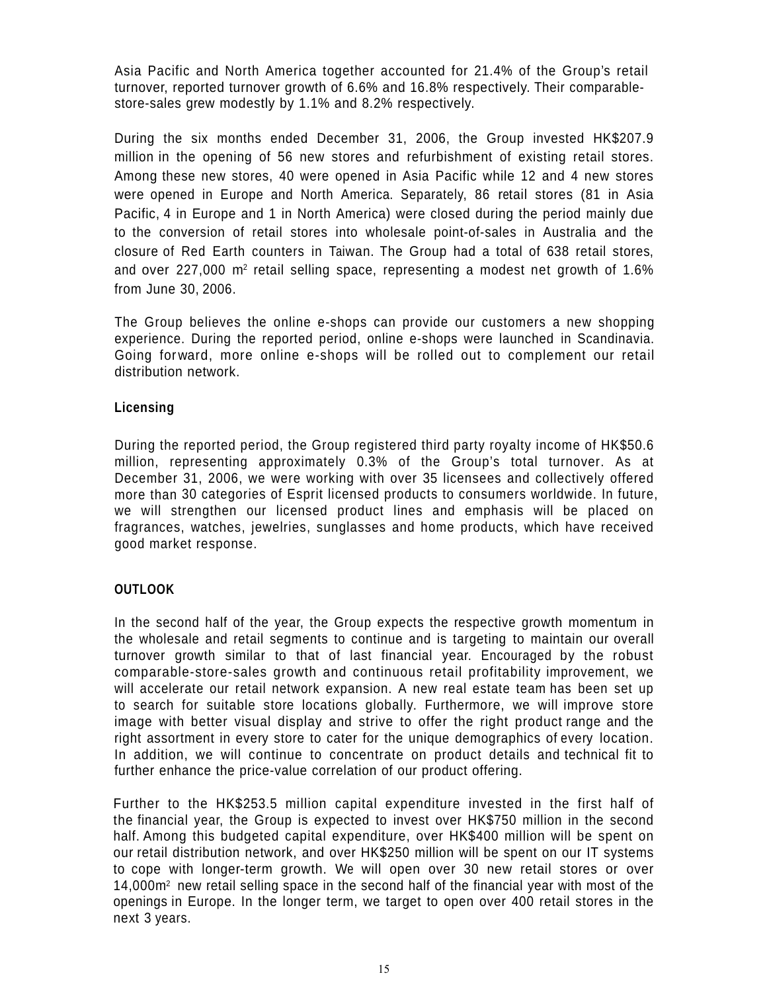Asia Pacific and North America together accounted for 21.4% of the Group's retail turnover, reported turnover growth of 6.6% and 16.8% respectively. Their comparablestore-sales grew modestly by 1.1% and 8.2% respectively.

During the six months ended December 31, 2006, the Group invested HK\$207.9 million in the opening of 56 new stores and refurbishment of existing retail stores. Among these new stores, 40 were opened in Asia Pacific while 12 and 4 new stores were opened in Europe and North America. Separately, 86 retail stores (81 in Asia Pacific, 4 in Europe and 1 in North America) were closed during the period mainly due to the conversion of retail stores into wholesale point-of-sales in Australia and the closure of Red Earth counters in Taiwan. The Group had a total of 638 retail stores, and over 227,000 m<sup>2</sup> retail selling space, representing a modest net growth of 1.6% from June 30, 2006.

The Group believes the online e-shops can provide our customers a new shopping experience. During the reported period, online e-shops were launched in Scandinavia. Going for ward, more online e-shops will be rolled out to complement our retail distribution network.

# **Licensing**

During the reported period, the Group registered third party royalty income of HK\$50.6 million, representing approximately 0.3% of the Group's total turnover. As at December 31, 2006, we were working with over 35 licensees and collectively offered more than 30 categories of Esprit licensed products to consumers worldwide. In future, we will strengthen our licensed product lines and emphasis will be placed on fragrances, watches, jewelries, sunglasses and home products, which have received good market response.

# **OUTLOOK**

In the second half of the year, the Group expects the respective growth momentum in the wholesale and retail segments to continue and is targeting to maintain our overall turnover growth similar to that of last financial year. Encouraged by the robust comparable-store-sales growth and continuous retail profitability improvement, we will accelerate our retail network expansion. A new real estate team has been set up to search for suitable store locations globally. Furthermore, we will improve store image with better visual display and strive to offer the right product range and the right assortment in every store to cater for the unique demographics of every location. In addition, we will continue to concentrate on product details and technical fit to further enhance the price-value correlation of our product offering.

Further to the HK\$253.5 million capital expenditure invested in the first half of the financial year, the Group is expected to invest over HK\$750 million in the second half. Among this budgeted capital expenditure, over HK\$400 million will be spent on our retail distribution network, and over HK\$250 million will be spent on our IT systems to cope with longer-term growth. We will open over 30 new retail stores or over 14,000m2 new retail selling space in the second half of the financial year with most of the openings in Europe. In the longer term, we target to open over 400 retail stores in the next 3 years.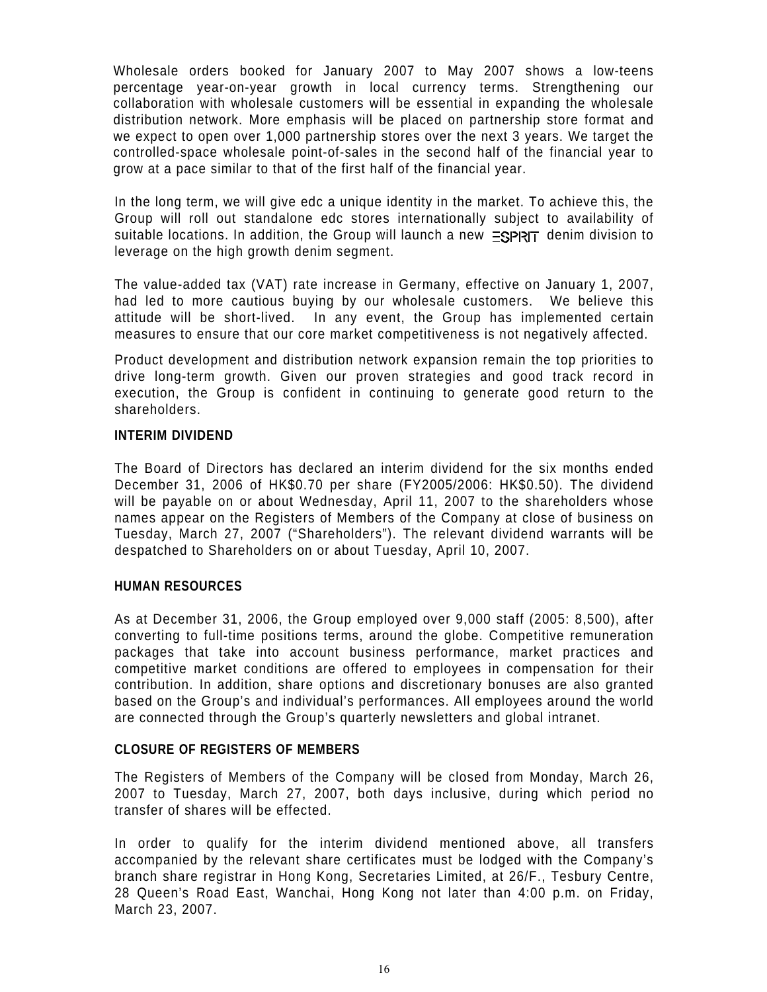Wholesale orders booked for January 2007 to May 2007 shows a low-teens percentage year-on-year growth in local currency terms. Strengthening our collaboration with wholesale customers will be essential in expanding the wholesale distribution network. More emphasis will be placed on partnership store format and we expect to open over 1,000 partnership stores over the next 3 years. We target the controlled-space wholesale point-of-sales in the second half of the financial year to grow at a pace similar to that of the first half of the financial year.

In the long term, we will give edc a unique identity in the market. To achieve this, the Group will roll out standalone edc stores internationally subject to availability of  $s$ uitable locations. In addition, the Group will launch a new  $\equiv s$  $\equiv$  denim division to leverage on the high growth denim segment.

The value-added tax (VAT) rate increase in Germany, effective on January 1, 2007, had led to more cautious buying by our wholesale customers. We believe this attitude will be short-lived. In any event, the Group has implemented certain measures to ensure that our core market competitiveness is not negatively affected.

Product development and distribution network expansion remain the top priorities to drive long-term growth. Given our proven strategies and good track record in execution, the Group is confident in continuing to generate good return to the shareholders.

# **INTERIM DIVIDEND**

The Board of Directors has declared an interim dividend for the six months ended December 31, 2006 of HK\$0.70 per share (FY2005/2006: HK\$0.50). The dividend will be payable on or about Wednesday, April 11, 2007 to the shareholders whose names appear on the Registers of Members of the Company at close of business on Tuesday, March 27, 2007 ("Shareholders"). The relevant dividend warrants will be despatched to Shareholders on or about Tuesday, April 10, 2007.

# **HUMAN RESOURCES**

As at December 31, 2006, the Group employed over 9,000 staff (2005: 8,500), after converting to full-time positions terms, around the globe. Competitive remuneration packages that take into account business performance, market practices and competitive market conditions are offered to employees in compensation for their contribution. In addition, share options and discretionary bonuses are also granted based on the Group's and individual's performances. All employees around the world are connected through the Group's quarterly newsletters and global intranet.

## **CLOSURE OF REGISTERS OF MEMBERS**

The Registers of Members of the Company will be closed from Monday, March 26, 2007 to Tuesday, March 27, 2007, both days inclusive, during which period no transfer of shares will be effected.

In order to qualify for the interim dividend mentioned above, all transfers accompanied by the relevant share certificates must be lodged with the Company's branch share registrar in Hong Kong, Secretaries Limited, at 26/F., Tesbury Centre, 28 Queen's Road East, Wanchai, Hong Kong not later than 4:00 p.m. on Friday, March 23, 2007.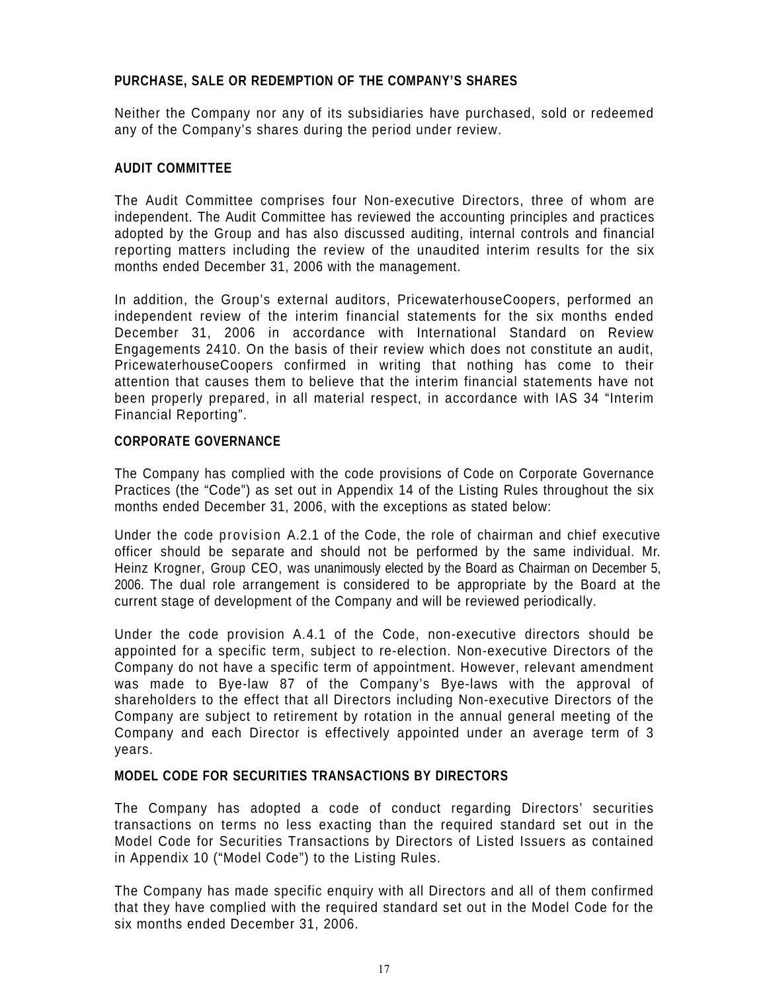# **PURCHASE, SALE OR REDEMPTION OF THE COMPANY'S SHARES**

Neither the Company nor any of its subsidiaries have purchased, sold or redeemed any of the Company's shares during the period under review.

# **AUDIT COMMITTEE**

The Audit Committee comprises four Non-executive Directors, three of whom are independent. The Audit Committee has reviewed the accounting principles and practices adopted by the Group and has also discussed auditing, internal controls and financial reporting matters including the review of the unaudited interim results for the six months ended December 31, 2006 with the management.

In addition, the Group's external auditors, PricewaterhouseCoopers, performed an independent review of the interim financial statements for the six months ended December 31, 2006 in accordance with International Standard on Review Engagements 2410. On the basis of their review which does not constitute an audit, PricewaterhouseCoopers confirmed in writing that nothing has come to their attention that causes them to believe that the interim financial statements have not been properly prepared, in all material respect, in accordance with IAS 34 "Interim Financial Reporting".

## **CORPORATE GOVERNANCE**

The Company has complied with the code provisions of Code on Corporate Governance Practices (the "Code") as set out in Appendix 14 of the Listing Rules throughout the six months ended December 31, 2006, with the exceptions as stated below:

Under the code provision A.2.1 of the Code, the role of chairman and chief executive officer should be separate and should not be performed by the same individual. Mr. Heinz Krogner, Group CEO, was unanimously elected by the Board as Chairman on December 5, 2006. The dual role arrangement is considered to be appropriate by the Board at the current stage of development of the Company and will be reviewed periodically.

Under the code provision A.4.1 of the Code, non-executive directors should be appointed for a specific term, subject to re-election. Non-executive Directors of the Company do not have a specific term of appointment. However, relevant amendment was made to Bye-law 87 of the Company's Bye-laws with the approval of shareholders to the effect that all Directors including Non-executive Directors of the Company are subject to retirement by rotation in the annual general meeting of the Company and each Director is effectively appointed under an average term of 3 years.

# **MODEL CODE FOR SECURITIES TRANSACTIONS BY DIRECTORS**

The Company has adopted a code of conduct regarding Directors' securities transactions on terms no less exacting than the required standard set out in the Model Code for Securities Transactions by Directors of Listed Issuers as contained in Appendix 10 ("Model Code") to the Listing Rules.

The Company has made specific enquiry with all Directors and all of them confirmed that they have complied with the required standard set out in the Model Code for the six months ended December 31, 2006.